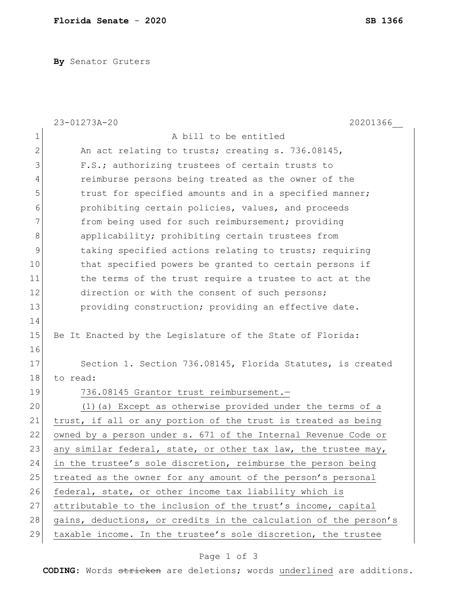**By** Senator Gruters

|              | 23-01273A-20<br>20201366                                         |
|--------------|------------------------------------------------------------------|
| 1            | A bill to be entitled                                            |
| $\mathbf{2}$ | An act relating to trusts; creating s. 736.08145,                |
| 3            | F.S.; authorizing trustees of certain trusts to                  |
| 4            | reimburse persons being treated as the owner of the              |
| 5            | trust for specified amounts and in a specified manner;           |
| 6            | prohibiting certain policies, values, and proceeds               |
| 7            | from being used for such reimbursement; providing                |
| 8            | applicability; prohibiting certain trustees from                 |
| 9            | taking specified actions relating to trusts; requiring           |
| 10           | that specified powers be granted to certain persons if           |
| 11           | the terms of the trust require a trustee to act at the           |
| 12           | direction or with the consent of such persons;                   |
| 13           | providing construction; providing an effective date.             |
| 14           |                                                                  |
| 15           | Be It Enacted by the Legislature of the State of Florida:        |
| 16           |                                                                  |
| 17           | Section 1. Section 736.08145, Florida Statutes, is created       |
| 18           | to read:                                                         |
| 19           | 736.08145 Grantor trust reimbursement.-                          |
| 20           | (1) (a) Except as otherwise provided under the terms of a        |
| 21           | trust, if all or any portion of the trust is treated as being    |
| 22           | owned by a person under s. 671 of the Internal Revenue Code or   |
| 23           | any similar federal, state, or other tax law, the trustee may,   |
| 24           | in the trustee's sole discretion, reimburse the person being     |
| 25           | treated as the owner for any amount of the person's personal     |
| 26           | federal, state, or other income tax liability which is           |
| 27           | attributable to the inclusion of the trust's income, capital     |
| 28           | gains, deductions, or credits in the calculation of the person's |
| 29           | taxable income. In the trustee's sole discretion, the trustee    |

## Page 1 of 3

**CODING**: Words stricken are deletions; words underlined are additions.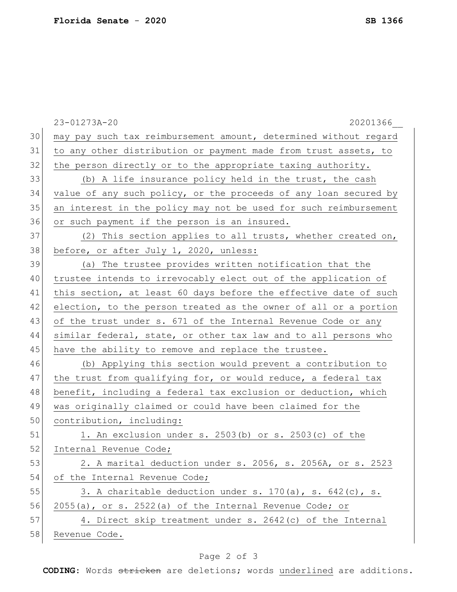|    | 23-01273A-20<br>20201366                                         |
|----|------------------------------------------------------------------|
| 30 | may pay such tax reimbursement amount, determined without regard |
| 31 | to any other distribution or payment made from trust assets, to  |
| 32 | the person directly or to the appropriate taxing authority.      |
| 33 | (b) A life insurance policy held in the trust, the cash          |
| 34 | value of any such policy, or the proceeds of any loan secured by |
| 35 | an interest in the policy may not be used for such reimbursement |
| 36 | or such payment if the person is an insured.                     |
| 37 | (2) This section applies to all trusts, whether created on,      |
| 38 | before, or after July 1, 2020, unless:                           |
| 39 | (a) The trustee provides written notification that the           |
| 40 | trustee intends to irrevocably elect out of the application of   |
| 41 | this section, at least 60 days before the effective date of such |
| 42 | election, to the person treated as the owner of all or a portion |
| 43 | of the trust under s. 671 of the Internal Revenue Code or any    |
| 44 | similar federal, state, or other tax law and to all persons who  |
| 45 | have the ability to remove and replace the trustee.              |
| 46 | (b) Applying this section would prevent a contribution to        |
| 47 | the trust from qualifying for, or would reduce, a federal tax    |
| 48 | benefit, including a federal tax exclusion or deduction, which   |
| 49 | was originally claimed or could have been claimed for the        |
| 50 | contribution, including:                                         |
| 51 | 1. An exclusion under s. $2503(b)$ or s. $2503(c)$ of the        |
| 52 | Internal Revenue Code;                                           |
| 53 | 2. A marital deduction under s. 2056, s. 2056A, or s. 2523       |
| 54 | of the Internal Revenue Code;                                    |
| 55 | 3. A charitable deduction under s. 170(a), s. 642(c), s.         |
| 56 | $2055(a)$ , or s. $2522(a)$ of the Internal Revenue Code; or     |
| 57 | 4. Direct skip treatment under s. 2642(c) of the Internal        |
| 58 | Revenue Code.                                                    |

## Page 2 of 3

**CODING**: Words stricken are deletions; words underlined are additions.